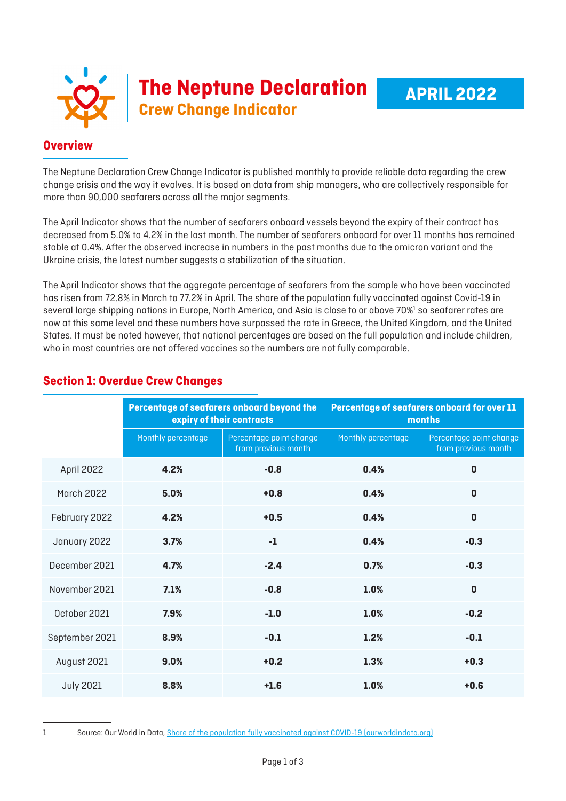|  | The Neptune Declaration |
|--|-------------------------|
|  |                         |

## **Overview**

The Neptune Declaration Crew Change Indicator is published monthly to provide reliable data regarding the crew change crisis and the way it evolves. It is based on data from ship managers, who are collectively responsible for more than 90,000 seafarers across all the major segments.

The April Indicator shows that the number of seafarers onboard vessels beyond the expiry of their contract has decreased from 5.0% to 4.2% in the last month. The number of seafarers onboard for over 11 months has remained stable at 0.4%. After the observed increase in numbers in the past months due to the omicron variant and the Ukraine crisis, the latest number suggests a stabilization of the situation.

The April Indicator shows that the aggregate percentage of seafarers from the sample who have been vaccinated has risen from 72.8% in March to 77.2% in April. The share of the population fully vaccinated against Covid-19 in several large shipping nations in Europe, North America, and Asia is close to or above 70%<sup>1</sup> so seafarer rates are now at this same level and these numbers have surpassed the rate in Greece, the United Kingdom, and the United States. It must be noted however, that national percentages are based on the full population and include children, who in most countries are not offered vaccines so the numbers are not fully comparable.

|                   | Percentage of seafarers onboard beyond the<br>expiry of their contracts |                                                | Percentage of seafarers onboard for over 11<br>months |                                                |
|-------------------|-------------------------------------------------------------------------|------------------------------------------------|-------------------------------------------------------|------------------------------------------------|
|                   | Monthly percentage                                                      | Percentage point change<br>from previous month | Monthly percentage                                    | Percentage point change<br>from previous month |
| April 2022        | 4.2%                                                                    | $-0.8$                                         | 0.4%                                                  | $\mathbf{0}$                                   |
| <b>March 2022</b> | 5.0%                                                                    | $+0.8$                                         | 0.4%                                                  | $\mathbf 0$                                    |
| February 2022     | 4.2%                                                                    | $+0.5$                                         | 0.4%                                                  | $\mathbf 0$                                    |
| January 2022      | 3.7%                                                                    | $-1$                                           | 0.4%                                                  | $-0.3$                                         |
| December 2021     | 4.7%                                                                    | $-2.4$                                         | 0.7%                                                  | $-0.3$                                         |
| November 2021     | 7.1%                                                                    | $-0.8$                                         | 1.0%                                                  | $\mathbf 0$                                    |
| October 2021      | 7.9%                                                                    | $-1.0$                                         | 1.0%                                                  | $-0.2$                                         |
| September 2021    | 8.9%                                                                    | $-0.1$                                         | 1.2%                                                  | $-0.1$                                         |
| August 2021       | 9.0%                                                                    | $+0.2$                                         | 1.3%                                                  | $+0.3$                                         |
| <b>July 2021</b>  | 8.8%                                                                    | $+1.6$                                         | 1.0%                                                  | $+0.6$                                         |

## **Section 1: Overdue Crew Changes**

<sup>1</sup> Source: Our World in Data, [Share of the population fully vaccinated against COVID-19 \(ourworldindata.org\)](https://ourworldindata.org/grapher/share-people-fully-vaccinated-covid?region=Europe&country=DNK~GRC~USA~CHN~GBR~SGP)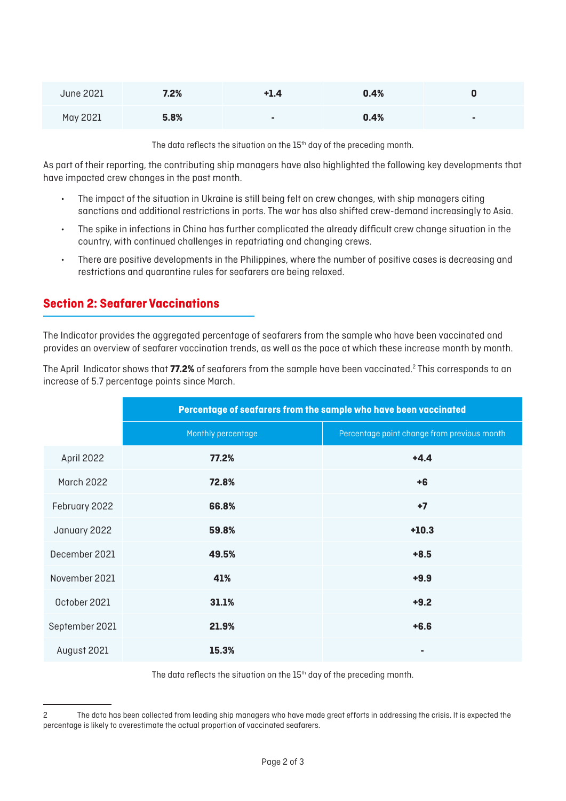| <b>June 2021</b> | 7.2% | +1.4 | 0.4% |  |
|------------------|------|------|------|--|
| May 2021         | 5.8% | ۰    | 0.4% |  |

The data reflects the situation on the 15<sup>th</sup> day of the preceding month.

As part of their reporting, the contributing ship managers have also highlighted the following key developments that have impacted crew changes in the past month.

- The impact of the situation in Ukraine is still being felt on crew changes, with ship managers citing sanctions and additional restrictions in ports. The war has also shifted crew-demand increasingly to Asia.
- The spike in infections in China has further complicated the already difficult crew change situation in the country, with continued challenges in repatriating and changing crews.
- There are positive developments in the Philippines, where the number of positive cases is decreasing and restrictions and quarantine rules for seafarers are being relaxed.

## **Section 2: Seafarer Vaccinations**

The Indicator provides the aggregated percentage of seafarers from the sample who have been vaccinated and provides an overview of seafarer vaccination trends, as well as the pace at which these increase month by month.

The April Indicator shows that **77.2%** of seafarers from the sample have been vaccinated.<sup>2</sup> This corresponds to an increase of 5.7 percentage points since March.

|                   | Percentage of seafarers from the sample who have been vaccinated |                                             |  |
|-------------------|------------------------------------------------------------------|---------------------------------------------|--|
|                   | Monthly percentage                                               | Percentage point change from previous month |  |
| April 2022        | 77.2%                                                            | $+4.4$                                      |  |
| <b>March 2022</b> | 72.8%                                                            | $+6$                                        |  |
| February 2022     | 66.8%                                                            | $+7$                                        |  |
| January 2022      | 59.8%                                                            | $+10.3$                                     |  |
| December 2021     | 49.5%                                                            | $+8.5$                                      |  |
| November 2021     | 41%                                                              | $+9.9$                                      |  |
| October 2021      | 31.1%                                                            | $+9.2$                                      |  |
| September 2021    | 21.9%                                                            | $+6.6$                                      |  |
| August 2021       | 15.3%                                                            | ٠                                           |  |

The data reflects the situation on the 15<sup>th</sup> day of the preceding month.

<sup>2</sup> The data has been collected from leading ship managers who have made great efforts in addressing the crisis. It is expected the percentage is likely to overestimate the actual proportion of vaccinated seafarers.